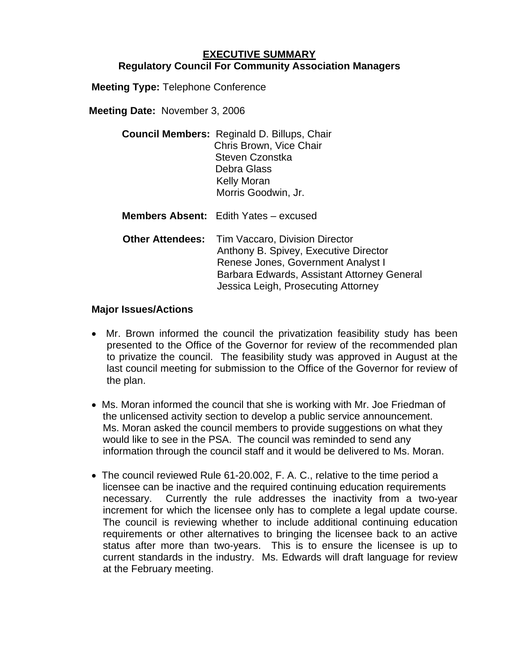## **EXECUTIVE SUMMARY Regulatory Council For Community Association Managers**

**Meeting Type:** Telephone Conference

**Meeting Date:** November 3, 2006

| <b>Council Members: Reginald D. Billups, Chair</b> |
|----------------------------------------------------|
| Chris Brown, Vice Chair                            |
| Steven Czonstka                                    |
| Debra Glass                                        |
| <b>Kelly Moran</b>                                 |
| Morris Goodwin, Jr.                                |
|                                                    |

**Members Absent:** Edith Yates – excused

**Other Attendees:** Tim Vaccaro, Division Director Anthony B. Spivey, Executive Director Renese Jones, Government Analyst I Barbara Edwards, Assistant Attorney General Jessica Leigh, Prosecuting Attorney

## **Major Issues/Actions**

- Mr. Brown informed the council the privatization feasibility study has been presented to the Office of the Governor for review of the recommended plan to privatize the council. The feasibility study was approved in August at the last council meeting for submission to the Office of the Governor for review of the plan.
- Ms. Moran informed the council that she is working with Mr. Joe Friedman of the unlicensed activity section to develop a public service announcement. Ms. Moran asked the council members to provide suggestions on what they would like to see in the PSA. The council was reminded to send any information through the council staff and it would be delivered to Ms. Moran.
- The council reviewed Rule 61-20.002, F. A. C., relative to the time period a licensee can be inactive and the required continuing education requirements necessary. Currently the rule addresses the inactivity from a two-year increment for which the licensee only has to complete a legal update course. The council is reviewing whether to include additional continuing education requirements or other alternatives to bringing the licensee back to an active status after more than two-years. This is to ensure the licensee is up to current standards in the industry. Ms. Edwards will draft language for review at the February meeting.